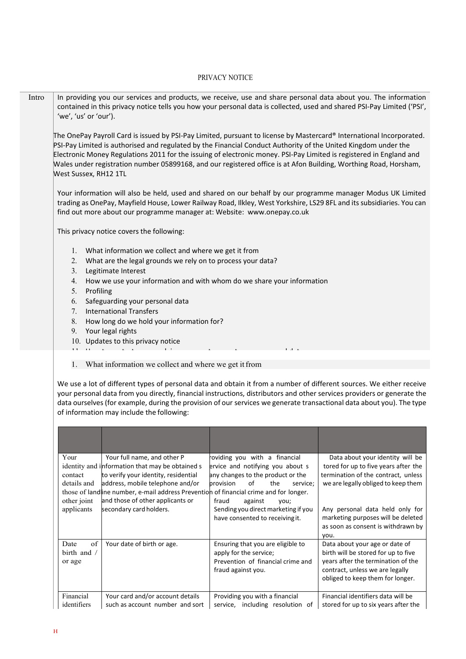### PRIVACY NOTICE

Intro In providing you our services and products, we receive, use and share personal data about you. The information contained in this privacy notice tells you how your personal data is collected, used and shared PSI-Pay Limited ('PSI', 'we', 'us' or 'our').

The OnePay Payroll Card is issued by PSI-Pay Limited, pursuant to license by Mastercard® International Incorporated. PSI-Pay Limited is authorised and regulated by the Financial Conduct Authority of the United Kingdom under the Electronic Money Regulations 2011 for the issuing of electronic money. PSI-Pay Limited is registered in England and Wales under registration number 05899168, and our registered office is at Afon Building, Worthing Road, Horsham, West Sussex, RH12 1TL

Your information will also be held, used and shared on our behalf by our programme manager Modus UK Limited trading as OnePay, Mayfield House, Lower Railway Road, Ilkley, West Yorkshire, LS29 8FL and its subsidiaries. You can find out more about our programme manager at: Website: [www.onepay.co.uk](http://www.onepay.co.uk/)

This privacy notice covers the following:

- 1. What information we collect and where we get it from
- 2. What are the legal grounds we rely on to process your data?
- 3. Legitimate Interest
- 4. How we use your information and with whom do we share your information
- 5. Profiling
- 6. Safeguarding your personal data
- 7. International Transfers
- 8. How long do we hold your information for?
- 9. Your legal rights
- 10. Updates to this privacy notice

#### 1. What information we collect and where we get it from

11 H t t l i t l i t l i t l i t l i t l i t l i t l i t l i t l i t l i t l i t l i t l i t l i t l i t l i t<br>.

We use a lot of different types of personal data and obtain it from a number of different sources. We either receive your personal data from you directly, financial instructions, distributors and other services providers or generate the data ourselves (for example, during the provision of our services we generate transactional data about you). The type of information may include the following:

| Your<br>contact<br>details and<br>other joint<br>applicants | Your full name, and other P<br>identity and information that may be obtained s<br>to verify your identity, residential<br>address, mobile telephone and/or<br>those of landline number, e-mail address Prevention of financial crime and for longer.<br>and those of other applicants or<br>secondary card holders. | oviding you with a financial<br>ervice and notifying you about s<br>any changes to the product or the<br>of<br>provision<br>the<br>service;<br>fraud<br>against<br>you;<br>Sending you direct marketing if you<br>have consented to receiving it. | Data about your identity will be<br>tored for up to five years after the<br>termination of the contract, unless<br>we are legally obliged to keep them<br>Any personal data held only for<br>marketing purposes will be deleted |
|-------------------------------------------------------------|---------------------------------------------------------------------------------------------------------------------------------------------------------------------------------------------------------------------------------------------------------------------------------------------------------------------|---------------------------------------------------------------------------------------------------------------------------------------------------------------------------------------------------------------------------------------------------|---------------------------------------------------------------------------------------------------------------------------------------------------------------------------------------------------------------------------------|
|                                                             |                                                                                                                                                                                                                                                                                                                     |                                                                                                                                                                                                                                                   | as soon as consent is withdrawn by<br>you.                                                                                                                                                                                      |
| of<br>Date<br>birth and /<br>or age                         | Your date of birth or age.                                                                                                                                                                                                                                                                                          | Ensuring that you are eligible to<br>apply for the service;<br>Prevention of financial crime and<br>fraud against you.                                                                                                                            | Data about your age or date of<br>birth will be stored for up to five<br>years after the termination of the<br>contract, unless we are legally<br>obliged to keep them for longer.                                              |
| Financial<br>identifiers                                    | Your card and/or account details<br>such as account number and sort                                                                                                                                                                                                                                                 | Providing you with a financial<br>service, including resolution of                                                                                                                                                                                | Financial identifiers data will be<br>stored for up to six years after the                                                                                                                                                      |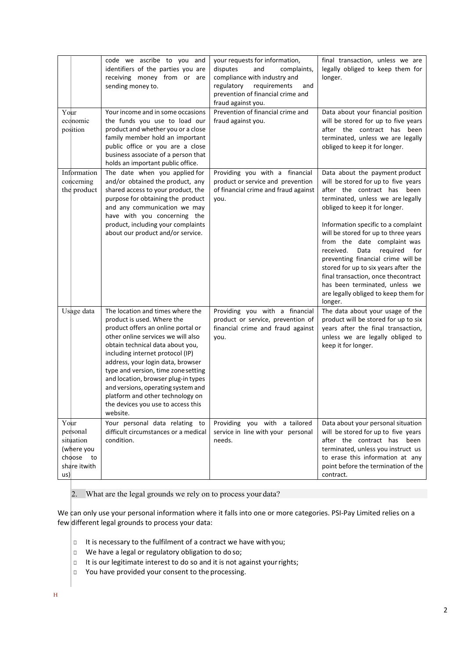| Your<br>economic<br>position                                                                             | code we ascribe to you and<br>identifiers of the parties you are<br>receiving money from or are<br>sending money to.<br>Your income and in some occasions<br>the funds you use to load our<br>product and whether you or a close<br>family member hold an important<br>public office or you are a close<br>business associate of a person that<br>holds an important public office.                                                                               | your requests for information,<br>disputes<br>and<br>complaints,<br>compliance with industry and<br>regulatory<br>requirements<br>and<br>prevention of financial crime and<br>fraud against you.<br>Prevention of financial crime and<br>fraud against you. | final transaction, unless we are<br>legally obliged to keep them for<br>longer.<br>Data about your financial position<br>will be stored for up to five years<br>after the contract has been<br>terminated, unless we are legally<br>obliged to keep it for longer.                                                                                                                                                                                                                                                                          |
|----------------------------------------------------------------------------------------------------------|-------------------------------------------------------------------------------------------------------------------------------------------------------------------------------------------------------------------------------------------------------------------------------------------------------------------------------------------------------------------------------------------------------------------------------------------------------------------|-------------------------------------------------------------------------------------------------------------------------------------------------------------------------------------------------------------------------------------------------------------|---------------------------------------------------------------------------------------------------------------------------------------------------------------------------------------------------------------------------------------------------------------------------------------------------------------------------------------------------------------------------------------------------------------------------------------------------------------------------------------------------------------------------------------------|
| Information<br>concerning<br>the product                                                                 | The date when you applied for<br>and/or obtained the product, any<br>shared access to your product, the<br>purpose for obtaining the product<br>and any communication we may<br>have with you concerning the<br>product, including your complaints<br>about our product and/or service.                                                                                                                                                                           | Providing you with a financial<br>product or service and prevention<br>of financial crime and fraud against<br>you.                                                                                                                                         | Data about the payment product<br>will be stored for up to five years<br>after the contract has been<br>terminated, unless we are legally<br>obliged to keep it for longer.<br>Information specific to a complaint<br>will be stored for up to three years<br>from the date complaint was<br>Data<br>received.<br>required<br>for<br>preventing financial crime will be<br>stored for up to six years after the<br>final transaction, once thecontract<br>has been terminated, unless we<br>are legally obliged to keep them for<br>longer. |
| Usage data                                                                                               | The location and times where the<br>product is used. Where the<br>product offers an online portal or<br>other online services we will also<br>obtain technical data about you,<br>including internet protocol (IP)<br>address, your login data, browser<br>type and version, time zone setting<br>and location, browser plug-in types<br>and versions, operating system and<br>platform and other technology on<br>the devices you use to access this<br>website. | Providing you with a financial<br>product or service, prevention of<br>financial crime and fraud against<br>you.                                                                                                                                            | The data about your usage of the<br>product will be stored for up to six<br>years after the final transaction,<br>unless we are legally obliged to<br>keep it for longer.                                                                                                                                                                                                                                                                                                                                                                   |
| Your<br>personal<br>situation<br>(where you<br>choose<br>to<br>share itwith<br>$\vert \text{us} \rangle$ | Your personal data relating to<br>difficult circumstances or a medical<br>condition.                                                                                                                                                                                                                                                                                                                                                                              | Providing you with a tailored<br>service in line with your personal<br>needs.                                                                                                                                                                               | Data about your personal situation<br>will be stored for up to five years<br>after the contract has<br>been<br>terminated, unless you instruct us<br>to erase this information at any<br>point before the termination of the<br>contract.                                                                                                                                                                                                                                                                                                   |

2. What are the legal grounds we rely on to process your data?

We can only use your personal information where it falls into one or more categories. PSI-Pay Limited relies on a few different legal grounds to process your data:

- □ It is necessary to the fulfilment of a contract we have with you;
- □ We have a legal or regulatory obligation to do so;
- □ It is our legitimate interest to do so and it is not against yourrights;
- □ You have provided your consent to the processing.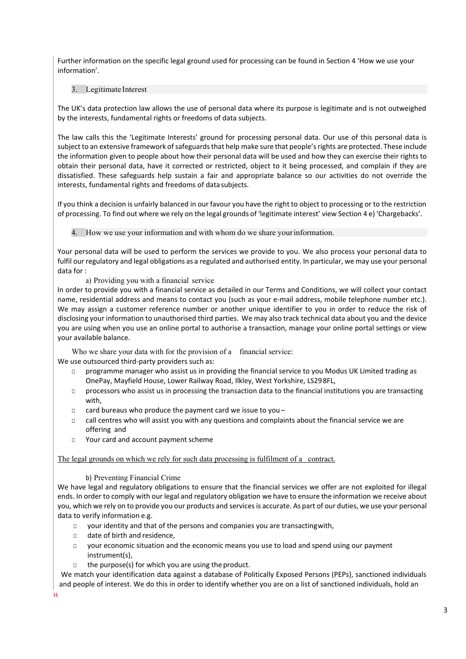Further information on the specific legal ground used for processing can be found in Section 4 'How we use your information'.

## 3. Legitimate Interest

The UK's data protection law allows the use of personal data where its purpose is legitimate and is not outweighed by the interests, fundamental rights or freedoms of data subjects.

The law calls this the 'Legitimate Interests' ground for processing personal data. Our use of this personal data is subject to an extensive framework of safeguards that help make sure that people's rights are protected. These include the information given to people about how their personal data will be used and how they can exercise their rights to obtain their personal data, have it corrected or restricted, object to it being processed, and complain if they are dissatisfied. These safeguards help sustain a fair and appropriate balance so our activities do not override the interests, fundamental rights and freedoms of data subjects.

If you think a decision is unfairly balanced in our favour you have the right to object to processing or to the restriction of processing. To find out where we rely on the legal grounds of 'legitimate interest' view Section 4 e) 'Chargebacks'.

4. How we use your information and with whom do we share yourinformation.

Your personal data will be used to perform the services we provide to you. We also process your personal data to fulfil our regulatory and legal obligations as a regulated and authorised entity. In particular, we may use your personal data for :

a) Providing you with a financial service

In order to provide you with a financial service as detailed in our Terms and Conditions, we will collect your contact name, residential address and means to contact you (such as your e-mail address, mobile telephone number etc.). We may assign a customer reference number or another unique identifier to you in order to reduce the risk of disclosing your information to unauthorised third parties. We may also track technical data about you and the device you are using when you use an online portal to authorise a transaction, manage your online portal settings or view your available balance.

Who we share your data with for the provision of a financial service: We use outsourced third-party providers such as:

- □ programme manager who assist us in providing the financial service to you Modus UK Limited trading as OnePay, Mayfield House, Lower Railway Road, Ilkley, West Yorkshire, LS298FL,
- $\Box$  processors who assist us in processing the transaction data to the financial institutions you are transacting with,
- □ card bureaus who produce the payment card we issue to you –
- □ call centres who will assist you with any questions and complaints about the financial service we are offering and
- □ Your card and account payment scheme

The legal grounds on which we rely for such data processing is fulfilment of a contract.

b) Preventing Financial Crime

We have legal and regulatory obligations to ensure that the financial services we offer are not exploited for illegal ends. In order to comply with our legal and regulatory obligation we have to ensure the information we receive about you, which we rely on to provide you our products and servicesis accurate. As part of our duties, we use your personal data to verify information e.g.

- □ your identity and that of the persons and companies you are transactingwith,
- □ date of birth and residence,
- □ your economic situation and the economic means you use to load and spend using our payment instrument(s),
- □ the purpose(s) for which you are using the product.

We match your identification data against a database of Politically Exposed Persons (PEPs), sanctioned individuals and people of interest. We do this in order to identify whether you are on a list of sanctioned individuals, hold an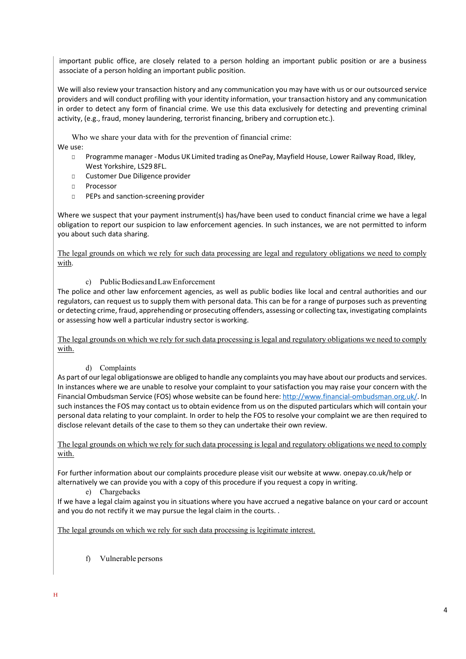important public office, are closely related to a person holding an important public position or are a business associate of a person holding an important public position.

We will also review your transaction history and any communication you may have with us or our outsourced service providers and will conduct profiling with your identity information, your transaction history and any communication in order to detect any form of financial crime. We use this data exclusively for detecting and preventing criminal activity, (e.g., fraud, money laundering, terrorist financing, bribery and corruption etc.).

Who we share your data with for the prevention of financial crime:

We use:

- □ Programme manager Modus UK Limited trading as OnePay, Mayfield House, Lower Railway Road, Ilkley, West Yorkshire, LS29 8FL.
- □ Customer Due Diligence provider
- □ Processor
- □ PEPs and sanction-screening provider

Where we suspect that your payment instrument(s) has/have been used to conduct financial crime we have a legal obligation to report our suspicion to law enforcement agencies. In such instances, we are not permitted to inform you about such data sharing.

The legal grounds on which we rely for such data processing are legal and regulatory obligations we need to comply with.

c) PublicBodiesandLawEnforcement

The police and other law enforcement agencies, as well as public bodies like local and central authorities and our regulators, can request us to supply them with personal data. This can be for a range of purposes such as preventing or detecting crime, fraud, apprehending or prosecuting offenders, assessing or collecting tax, investigating complaints or assessing how well a particular industry sector is working.

The legal grounds on which we rely forsuch data processing is legal and regulatory obligations we need to comply with.

d) Complaints

As part of our legal obligationswe are obliged to handle any complaints you may have about our products and services. In instances where we are unable to resolve your complaint to your satisfaction you may raise your concern with the Financial Ombudsman Service (FOS) whose website can be found here[: http://www.financial-ombudsman.org.uk/.](http://www.financial-ombudsman.org.uk/) In such instances the FOS may contact us to obtain evidence from us on the disputed particulars which will contain your personal data relating to your complaint. In order to help the FOS to resolve your complaint we are then required to disclose relevant details of the case to them so they can undertake their own review.

The legal grounds on which we rely for such data processing is legal and regulatory obligations we need to comply with.

For further information about our complaints procedure please visit our website a[t www.](http://www/) onepay.co.uk/help or alternatively we can provide you with a copy of this procedure if you request a copy in writing.

e) Chargebacks

If we have a legal claim against you in situations where you have accrued a negative balance on your card or account and you do not rectify it we may pursue the legal claim in the courts. .

The legal grounds on which we rely for such data processing is legitimate interest.

f) Vulnerable persons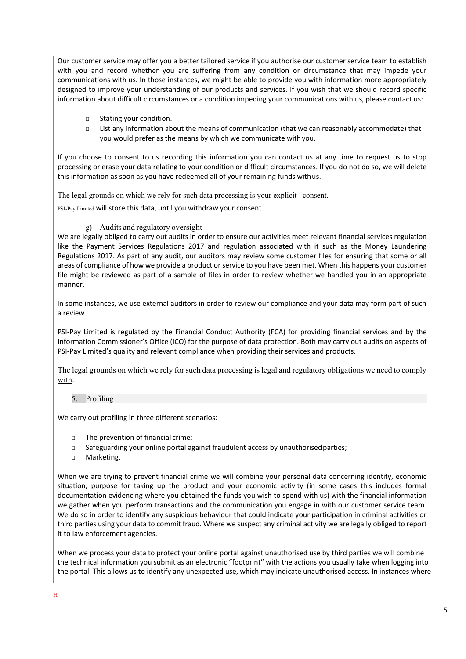Our customer service may offer you a better tailored service if you authorise our customer service team to establish with you and record whether you are suffering from any condition or circumstance that may impede your communications with us. In those instances, we might be able to provide you with information more appropriately designed to improve your understanding of our products and services. If you wish that we should record specific information about difficult circumstances or a condition impeding your communications with us, please contact us:

- □ Stating your condition.
- □ List any information about the means of communication (that we can reasonably accommodate) that you would prefer as the means by which we communicate withyou.

If you choose to consent to us recording this information you can contact us at any time to request us to stop processing or erase your data relating to your condition or difficult circumstances. If you do not do so, we will delete this information as soon as you have redeemed all of your remaining funds withus.

The legal grounds on which we rely for such data processing is your explicit consent.

PSI-Pay Limited will store this data, until you withdraw your consent.

### g) Audits and regulatory oversight

We are legally obliged to carry out audits in order to ensure our activities meet relevant financial services regulation like the Payment Services Regulations 2017 and regulation associated with it such as the Money Laundering Regulations 2017. As part of any audit, our auditors may review some customer files for ensuring that some or all areas of compliance of how we provide a product or service to you have been met. When this happens your customer file might be reviewed as part of a sample of files in order to review whether we handled you in an appropriate manner.

In some instances, we use external auditors in order to review our compliance and your data may form part of such a review.

PSI-Pay Limited is regulated by the Financial Conduct Authority (FCA) for providing financial services and by the Information Commissioner's Office (ICO) for the purpose of data protection. Both may carry out audits on aspects of PSI-Pay Limited's quality and relevant compliance when providing their services and products.

The legal grounds on which we rely for such data processing is legal and regulatory obligations we need to comply with.

### 5. Profiling

We carry out profiling in three different scenarios:

- □ The prevention of financial crime;
- □ Safeguarding your online portal against fraudulent access by unauthorised parties;
- □ Marketing.

When we are trying to prevent financial crime we will combine your personal data concerning identity, economic situation, purpose for taking up the product and your economic activity (in some cases this includes formal documentation evidencing where you obtained the funds you wish to spend with us) with the financial information we gather when you perform transactions and the communication you engage in with our customer service team. We do so in order to identify any suspicious behaviour that could indicate your participation in criminal activities or third parties using your data to commit fraud. Where we suspect any criminal activity we are legally obliged to report it to law enforcement agencies.

When we process your data to protect your online portal against unauthorised use by third parties we will combine the technical information you submit as an electronic "footprint" with the actions you usually take when logging into the portal. This allows us to identify any unexpected use, which may indicate unauthorised access. In instances where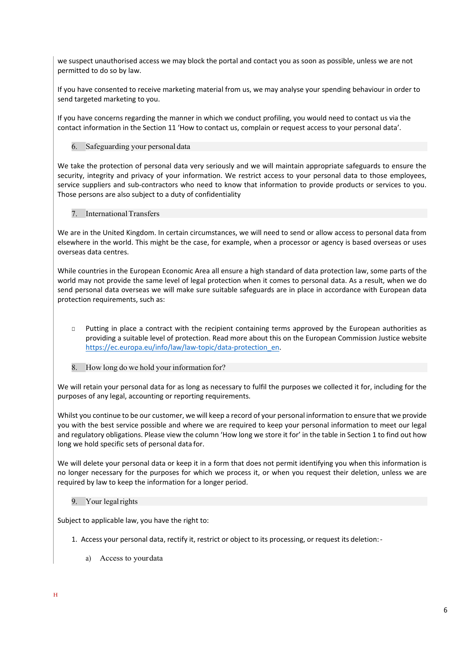we suspect unauthorised access we may block the portal and contact you as soon as possible, unless we are not permitted to do so by law.

If you have consented to receive marketing material from us, we may analyse your spending behaviour in order to send targeted marketing to you.

If you have concerns regarding the manner in which we conduct profiling, you would need to contact us via the contact information in the Section 11 'How to contact us, complain or request access to your personal data'.

### 6. Safeguarding your personal data

We take the protection of personal data very seriously and we will maintain appropriate safeguards to ensure the security, integrity and privacy of your information. We restrict access to your personal data to those employees, service suppliers and sub-contractors who need to know that information to provide products or services to you. Those persons are also subject to a duty of confidentiality

#### 7. InternationalTransfers

We are in the United Kingdom. In certain circumstances, we will need to send or allow access to personal data from elsewhere in the world. This might be the case, for example, when a processor or agency is based overseas or uses overseas data centres.

While countries in the European Economic Area all ensure a high standard of data protection law, some parts of the world may not provide the same level of legal protection when it comes to personal data. As a result, when we do send personal data overseas we will make sure suitable safeguards are in place in accordance with European data protection requirements, such as:

- □ Putting in place a contract with the recipient containing terms approved by the European authorities as providing a suitable level of protection. Read more about this on the European Commission Justice website https://ec.europa.eu/info/law/law-topic/data-protection\_en.
- 8. How long do we hold your information for?

We will retain your personal data for as long as necessary to fulfil the purposes we collected it for, including for the purposes of any legal, accounting or reporting requirements.

Whilst you continue to be our customer, we will keep a record of your personal information to ensure that we provide you with the best service possible and where we are required to keep your personal information to meet our legal and regulatory obligations. Please view the column 'How long we store it for' in the table in Section 1 to find out how long we hold specific sets of personal data for.

We will delete your personal data or keep it in a form that does not permit identifying you when this information is no longer necessary for the purposes for which we process it, or when you request their deletion, unless we are required by law to keep the information for a longer period.

9. Your legalrights

Subject to applicable law, you have the right to:

- 1. Access your personal data, rectify it, restrict or object to its processing, or request its deletion:
	- a) Access to yourdata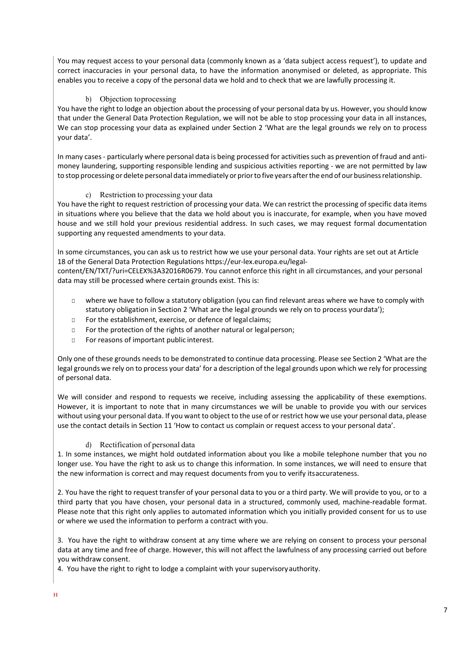You may request access to your personal data (commonly known as a 'data subject access request'), to update and correct inaccuracies in your personal data, to have the information anonymised or deleted, as appropriate. This enables you to receive a copy of the personal data we hold and to check that we are lawfully processing it.

## b) Objection toprocessing

You have the right to lodge an objection about the processing of your personal data by us. However, you should know that under the General Data Protection Regulation, we will not be able to stop processing your data in all instances, We can stop processing your data as explained under Section 2 'What are the legal grounds we rely on to process your data'.

In many cases - particularly where personal data is being processed for activities such as prevention of fraud and antimoney laundering, supporting responsible lending and suspicious activities reporting - we are not permitted by law to stop processing or delete personal data immediately or prior to five years after the end of our business relationship.

# c) Restriction to processing your data

You have the right to request restriction of processing your data. We can restrict the processing of specific data items in situations where you believe that the data we hold about you is inaccurate, for example, when you have moved house and we still hold your previous residential address. In such cases, we may request formal documentation supporting any requested amendments to your data.

In some circumstances, you can ask us to restrict how we use your personal data. Your rights are set out at Article 18 of the General Data Protection Regulations https://eur-lex.europa.eu/legal-

content/EN/TXT/?uri=CELEX%3A32016R0679. You cannot enforce this right in all circumstances, and your personal data may still be processed where certain grounds exist. This is:

- □ where we have to follow a statutory obligation (you can find relevant areas where we have to comply with statutory obligation in Section 2 'What are the legal grounds we rely on to process yourdata');
- □ For the establishment, exercise, or defence of legal claims;
- □ For the protection of the rights of another natural or legalperson;
- □ For reasons of important public interest.

Only one of these grounds needs to be demonstrated to continue data processing. Please see Section 2 'What are the legal grounds we rely on to process your data' for a description of the legal grounds upon which we rely for processing of personal data.

We will consider and respond to requests we receive, including assessing the applicability of these exemptions. However, it is important to note that in many circumstances we will be unable to provide you with our services without using your personal data. If you want to object to the use of or restrict how we use your personal data, please use the contact details in Section 11 'How to contact us complain or request access to your personal data'.

# d) Rectification of personal data

1. In some instances, we might hold outdated information about you like a mobile telephone number that you no longer use. You have the right to ask us to change this information. In some instances, we will need to ensure that the new information is correct and may request documents from you to verify itsaccurateness.

2. You have the right to request transfer of your personal data to you or a third party. We will provide to you, or to a third party that you have chosen, your personal data in a structured, commonly used, machine-readable format. Please note that this right only applies to automated information which you initially provided consent for us to use or where we used the information to perform a contract with you.

3. You have the right to withdraw consent at any time where we are relying on consent to process your personal data at any time and free of charge. However, this will not affect the lawfulness of any processing carried out before you withdraw consent.

4. You have the right to right to lodge a complaint with your supervisoryauthority.